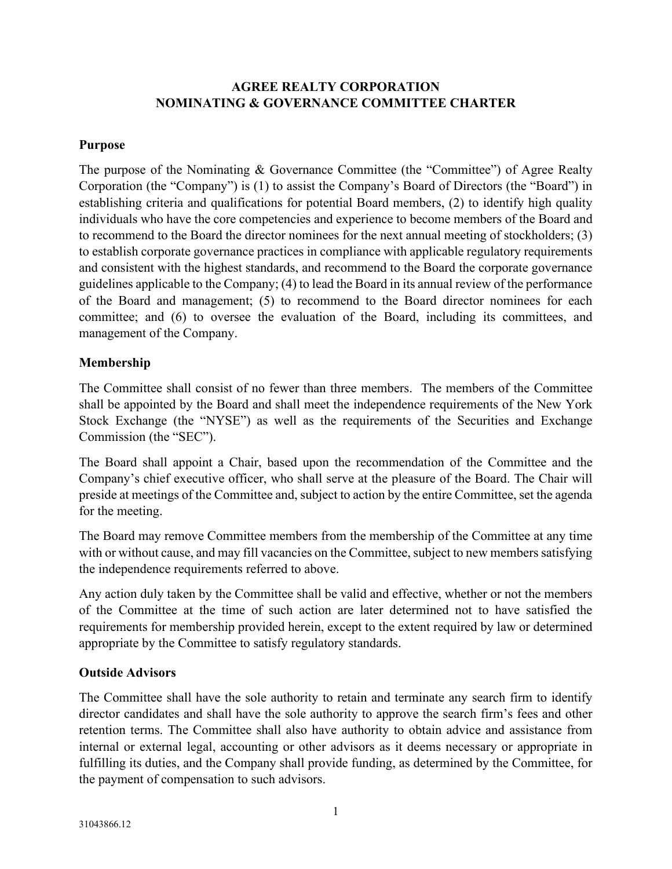# **AGREE REALTY CORPORATION NOMINATING & GOVERNANCE COMMITTEE CHARTER**

### **Purpose**

The purpose of the Nominating & Governance Committee (the "Committee") of Agree Realty Corporation (the "Company") is (1) to assist the Company's Board of Directors (the "Board") in establishing criteria and qualifications for potential Board members, (2) to identify high quality individuals who have the core competencies and experience to become members of the Board and to recommend to the Board the director nominees for the next annual meeting of stockholders; (3) to establish corporate governance practices in compliance with applicable regulatory requirements and consistent with the highest standards, and recommend to the Board the corporate governance guidelines applicable to the Company; (4) to lead the Board in its annual review of the performance of the Board and management; (5) to recommend to the Board director nominees for each committee; and (6) to oversee the evaluation of the Board, including its committees, and management of the Company.

## **Membership**

The Committee shall consist of no fewer than three members. The members of the Committee shall be appointed by the Board and shall meet the independence requirements of the New York Stock Exchange (the "NYSE") as well as the requirements of the Securities and Exchange Commission (the "SEC").

The Board shall appoint a Chair, based upon the recommendation of the Committee and the Company's chief executive officer, who shall serve at the pleasure of the Board. The Chair will preside at meetings of the Committee and, subject to action by the entire Committee, set the agenda for the meeting.

The Board may remove Committee members from the membership of the Committee at any time with or without cause, and may fill vacancies on the Committee, subject to new members satisfying the independence requirements referred to above.

Any action duly taken by the Committee shall be valid and effective, whether or not the members of the Committee at the time of such action are later determined not to have satisfied the requirements for membership provided herein, except to the extent required by law or determined appropriate by the Committee to satisfy regulatory standards.

# **Outside Advisors**

The Committee shall have the sole authority to retain and terminate any search firm to identify director candidates and shall have the sole authority to approve the search firm's fees and other retention terms. The Committee shall also have authority to obtain advice and assistance from internal or external legal, accounting or other advisors as it deems necessary or appropriate in fulfilling its duties, and the Company shall provide funding, as determined by the Committee, for the payment of compensation to such advisors.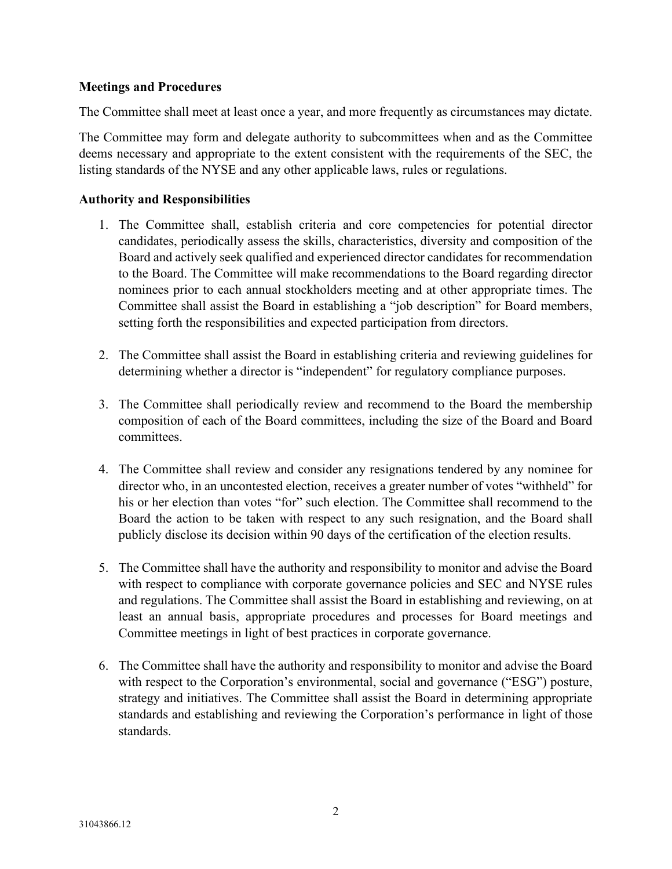## **Meetings and Procedures**

The Committee shall meet at least once a year, and more frequently as circumstances may dictate.

The Committee may form and delegate authority to subcommittees when and as the Committee deems necessary and appropriate to the extent consistent with the requirements of the SEC, the listing standards of the NYSE and any other applicable laws, rules or regulations.

## **Authority and Responsibilities**

- 1. The Committee shall, establish criteria and core competencies for potential director candidates, periodically assess the skills, characteristics, diversity and composition of the Board and actively seek qualified and experienced director candidates for recommendation to the Board. The Committee will make recommendations to the Board regarding director nominees prior to each annual stockholders meeting and at other appropriate times. The Committee shall assist the Board in establishing a "job description" for Board members, setting forth the responsibilities and expected participation from directors.
- 2. The Committee shall assist the Board in establishing criteria and reviewing guidelines for determining whether a director is "independent" for regulatory compliance purposes.
- 3. The Committee shall periodically review and recommend to the Board the membership composition of each of the Board committees, including the size of the Board and Board committees.
- 4. The Committee shall review and consider any resignations tendered by any nominee for director who, in an uncontested election, receives a greater number of votes "withheld" for his or her election than votes "for" such election. The Committee shall recommend to the Board the action to be taken with respect to any such resignation, and the Board shall publicly disclose its decision within 90 days of the certification of the election results.
- 5. The Committee shall have the authority and responsibility to monitor and advise the Board with respect to compliance with corporate governance policies and SEC and NYSE rules and regulations. The Committee shall assist the Board in establishing and reviewing, on at least an annual basis, appropriate procedures and processes for Board meetings and Committee meetings in light of best practices in corporate governance.
- 6. The Committee shall have the authority and responsibility to monitor and advise the Board with respect to the Corporation's environmental, social and governance ("ESG") posture, strategy and initiatives. The Committee shall assist the Board in determining appropriate standards and establishing and reviewing the Corporation's performance in light of those standards.